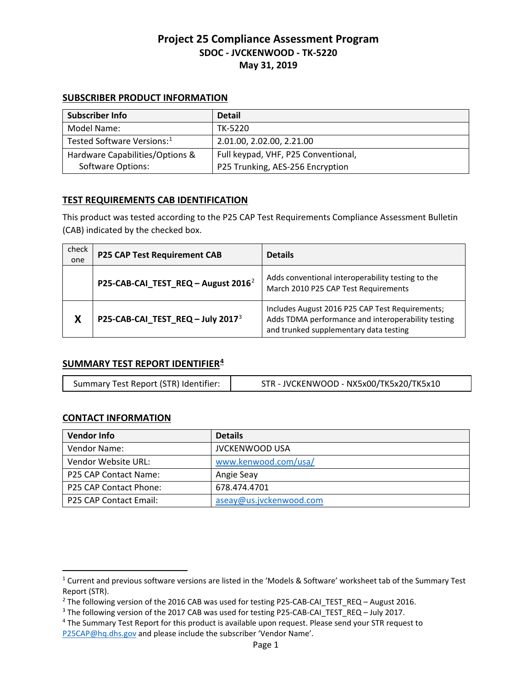#### **SUBSCRIBER PRODUCT INFORMATION**

| Subscriber Info                        | <b>Detail</b>                       |
|----------------------------------------|-------------------------------------|
| Model Name:                            | TK-5220                             |
| Tested Software Versions: <sup>1</sup> | 2.01.00, 2.02.00, 2.21.00           |
| Hardware Capabilities/Options &        | Full keypad, VHF, P25 Conventional, |
| Software Options:                      | P25 Trunking, AES-256 Encryption    |

## **TEST REQUIREMENTS CAB IDENTIFICATION**

This product was tested according to the P25 CAP Test Requirements Compliance Assessment Bulletin (CAB) indicated by the checked box.

| check<br>one | <b>P25 CAP Test Requirement CAB</b>             | <b>Details</b>                                                                                                                                  |
|--------------|-------------------------------------------------|-------------------------------------------------------------------------------------------------------------------------------------------------|
|              | P25-CAB-CAI_TEST_REQ - August 2016 <sup>2</sup> | Adds conventional interoperability testing to the<br>March 2010 P25 CAP Test Requirements                                                       |
| Χ            | P25-CAB-CAI_TEST_REQ - July 2017 <sup>3</sup>   | Includes August 2016 P25 CAP Test Requirements;<br>Adds TDMA performance and interoperability testing<br>and trunked supplementary data testing |

### **SUMMARY TEST REPORT IDENTIFIER[4](#page-0-3)**

|  | Summary Test Report (STR) Identifier: | STR - JVCKENWOOD - NX5x00/TK5x20/TK5x10 |
|--|---------------------------------------|-----------------------------------------|
|--|---------------------------------------|-----------------------------------------|

# **CONTACT INFORMATION**

 $\overline{a}$ 

| <b>Vendor Info</b>            | <b>Details</b>          |
|-------------------------------|-------------------------|
| Vendor Name:                  | <b>JVCKENWOOD USA</b>   |
| Vendor Website URL:           | www.kenwood.com/usa/    |
| P25 CAP Contact Name:         | Angie Seay              |
| <b>P25 CAP Contact Phone:</b> | 678.474.4701            |
| P25 CAP Contact Email:        | aseay@us.jvckenwood.com |

<span id="page-0-0"></span><sup>1</sup> Current and previous software versions are listed in the 'Models & Software' worksheet tab of the Summary Test Report (STR).

<span id="page-0-1"></span><sup>&</sup>lt;sup>2</sup> The following version of the 2016 CAB was used for testing P25-CAB-CAI\_TEST\_REQ – August 2016.<br><sup>3</sup> The following version of the 2017 CAB was used for testing P25-CAB-CAI\_TEST\_REQ – July 2017.<br><sup>4</sup> The Summary Test Repo

<span id="page-0-2"></span>

<span id="page-0-3"></span>[P25CAP@hq.dhs.gov](mailto:P25CAP@hq.dhs.gov) and please include the subscriber 'Vendor Name'.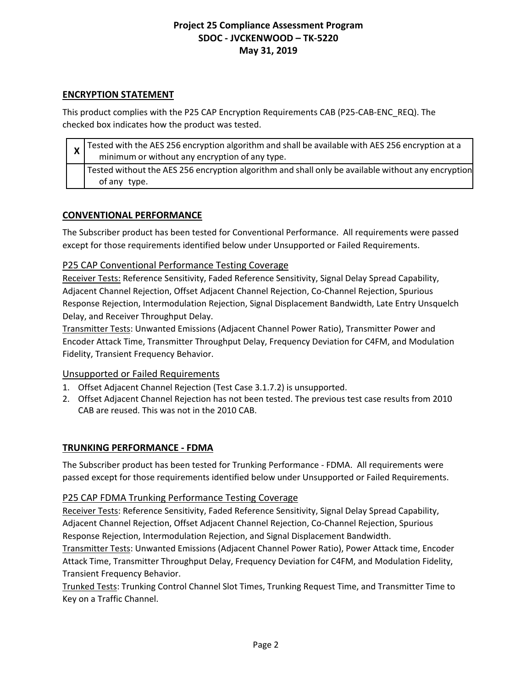### **ENCRYPTION STATEMENT**

This product complies with the P25 CAP Encryption Requirements CAB (P25-CAB-ENC\_REQ). The checked box indicates how the product was tested.

| $\mathbf{\Lambda}$ | $\chi$ Tested with the AES 256 encryption algorithm and shall be available with AES 256 encryption at a<br>minimum or without any encryption of any type. |
|--------------------|-----------------------------------------------------------------------------------------------------------------------------------------------------------|
|                    | Tested without the AES 256 encryption algorithm and shall only be available without any encryption<br>of any type.                                        |

#### **CONVENTIONAL PERFORMANCE**

The Subscriber product has been tested for Conventional Performance. All requirements were passed except for those requirements identified below under Unsupported or Failed Requirements.

### P25 CAP Conventional Performance Testing Coverage

Receiver Tests: Reference Sensitivity, Faded Reference Sensitivity, Signal Delay Spread Capability, Adjacent Channel Rejection, Offset Adjacent Channel Rejection, Co-Channel Rejection, Spurious Response Rejection, Intermodulation Rejection, Signal Displacement Bandwidth, Late Entry Unsquelch Delay, and Receiver Throughput Delay.

Transmitter Tests: Unwanted Emissions (Adjacent Channel Power Ratio), Transmitter Power and Encoder Attack Time, Transmitter Throughput Delay, Frequency Deviation for C4FM, and Modulation Fidelity, Transient Frequency Behavior.

### Unsupported or Failed Requirements

- 1. Offset Adjacent Channel Rejection (Test Case 3.1.7.2) is unsupported.
- 2. Offset Adjacent Channel Rejection has not been tested. The previous test case results from 2010 CAB are reused. This was not in the 2010 CAB.

### **TRUNKING PERFORMANCE - FDMA**

The Subscriber product has been tested for Trunking Performance - FDMA. All requirements were passed except for those requirements identified below under Unsupported or Failed Requirements.

#### P25 CAP FDMA Trunking Performance Testing Coverage

Receiver Tests: Reference Sensitivity, Faded Reference Sensitivity, Signal Delay Spread Capability, Adjacent Channel Rejection, Offset Adjacent Channel Rejection, Co-Channel Rejection, Spurious Response Rejection, Intermodulation Rejection, and Signal Displacement Bandwidth.

Transmitter Tests: Unwanted Emissions (Adjacent Channel Power Ratio), Power Attack time, Encoder Attack Time, Transmitter Throughput Delay, Frequency Deviation for C4FM, and Modulation Fidelity, Transient Frequency Behavior.

Trunked Tests: Trunking Control Channel Slot Times, Trunking Request Time, and Transmitter Time to Key on a Traffic Channel.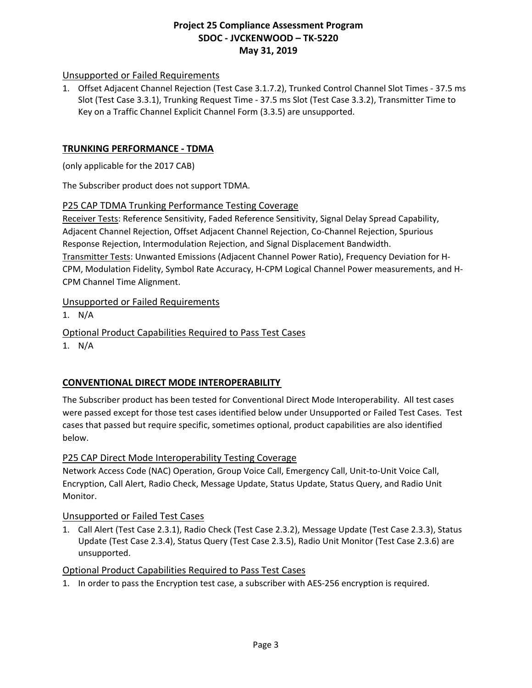### Unsupported or Failed Requirements

1. Offset Adjacent Channel Rejection (Test Case 3.1.7.2), Trunked Control Channel Slot Times - 37.5 ms Slot (Test Case 3.3.1), Trunking Request Time - 37.5 ms Slot (Test Case 3.3.2), Transmitter Time to Key on a Traffic Channel Explicit Channel Form (3.3.5) are unsupported.

### **TRUNKING PERFORMANCE - TDMA**

(only applicable for the 2017 CAB)

The Subscriber product does not support TDMA.

#### P25 CAP TDMA Trunking Performance Testing Coverage

Receiver Tests: Reference Sensitivity, Faded Reference Sensitivity, Signal Delay Spread Capability, Adjacent Channel Rejection, Offset Adjacent Channel Rejection, Co-Channel Rejection, Spurious Response Rejection, Intermodulation Rejection, and Signal Displacement Bandwidth. Transmitter Tests: Unwanted Emissions (Adjacent Channel Power Ratio), Frequency Deviation for H-CPM, Modulation Fidelity, Symbol Rate Accuracy, H-CPM Logical Channel Power measurements, and H-CPM Channel Time Alignment.

### Unsupported or Failed Requirements

1. N/A

Optional Product Capabilities Required to Pass Test Cases

1. N/A

# **CONVENTIONAL DIRECT MODE INTEROPERABILITY**

The Subscriber product has been tested for Conventional Direct Mode Interoperability. All test cases were passed except for those test cases identified below under Unsupported or Failed Test Cases. Test cases that passed but require specific, sometimes optional, product capabilities are also identified below.

### P25 CAP Direct Mode Interoperability Testing Coverage

Network Access Code (NAC) Operation, Group Voice Call, Emergency Call, Unit-to-Unit Voice Call, Encryption, Call Alert, Radio Check, Message Update, Status Update, Status Query, and Radio Unit Monitor.

### Unsupported or Failed Test Cases

1. Call Alert (Test Case 2.3.1), Radio Check (Test Case 2.3.2), Message Update (Test Case 2.3.3), Status Update (Test Case 2.3.4), Status Query (Test Case 2.3.5), Radio Unit Monitor (Test Case 2.3.6) are unsupported.

### Optional Product Capabilities Required to Pass Test Cases

1. In order to pass the Encryption test case, a subscriber with AES-256 encryption is required.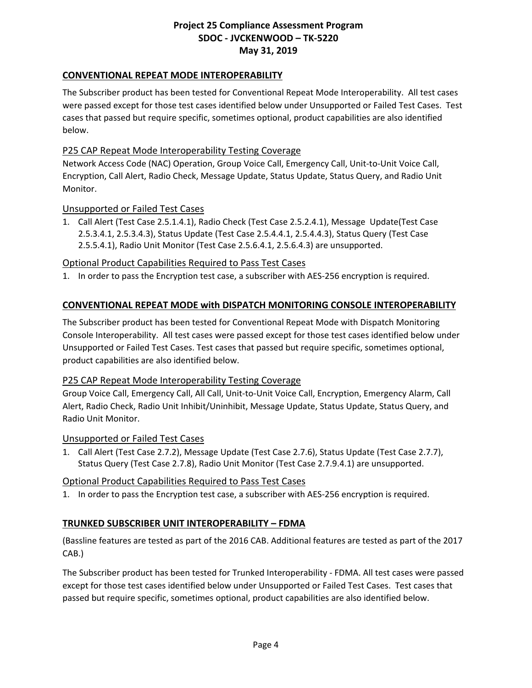## **CONVENTIONAL REPEAT MODE INTEROPERABILITY**

The Subscriber product has been tested for Conventional Repeat Mode Interoperability. All test cases were passed except for those test cases identified below under Unsupported or Failed Test Cases. Test cases that passed but require specific, sometimes optional, product capabilities are also identified below.

### P25 CAP Repeat Mode Interoperability Testing Coverage

Network Access Code (NAC) Operation, Group Voice Call, Emergency Call, Unit-to-Unit Voice Call, Encryption, Call Alert, Radio Check, Message Update, Status Update, Status Query, and Radio Unit Monitor.

#### Unsupported or Failed Test Cases

1. Call Alert (Test Case 2.5.1.4.1), Radio Check (Test Case 2.5.2.4.1), Message Update(Test Case 2.5.3.4.1, 2.5.3.4.3), Status Update (Test Case 2.5.4.4.1, 2.5.4.4.3), Status Query (Test Case 2.5.5.4.1), Radio Unit Monitor (Test Case 2.5.6.4.1, 2.5.6.4.3) are unsupported.

### Optional Product Capabilities Required to Pass Test Cases

1. In order to pass the Encryption test case, a subscriber with AES-256 encryption is required.

### **CONVENTIONAL REPEAT MODE with DISPATCH MONITORING CONSOLE INTEROPERABILITY**

The Subscriber product has been tested for Conventional Repeat Mode with Dispatch Monitoring Console Interoperability. All test cases were passed except for those test cases identified below under Unsupported or Failed Test Cases. Test cases that passed but require specific, sometimes optional, product capabilities are also identified below.

#### P25 CAP Repeat Mode Interoperability Testing Coverage

Group Voice Call, Emergency Call, All Call, Unit-to-Unit Voice Call, Encryption, Emergency Alarm, Call Alert, Radio Check, Radio Unit Inhibit/Uninhibit, Message Update, Status Update, Status Query, and Radio Unit Monitor.

#### Unsupported or Failed Test Cases

1. Call Alert (Test Case 2.7.2), Message Update (Test Case 2.7.6), Status Update (Test Case 2.7.7), Status Query (Test Case 2.7.8), Radio Unit Monitor (Test Case 2.7.9.4.1) are unsupported.

### Optional Product Capabilities Required to Pass Test Cases

1. In order to pass the Encryption test case, a subscriber with AES-256 encryption is required.

### **TRUNKED SUBSCRIBER UNIT INTEROPERABILITY – FDMA**

(Bassline features are tested as part of the 2016 CAB. Additional features are tested as part of the 2017 CAB.)

The Subscriber product has been tested for Trunked Interoperability - FDMA. All test cases were passed except for those test cases identified below under Unsupported or Failed Test Cases. Test cases that passed but require specific, sometimes optional, product capabilities are also identified below.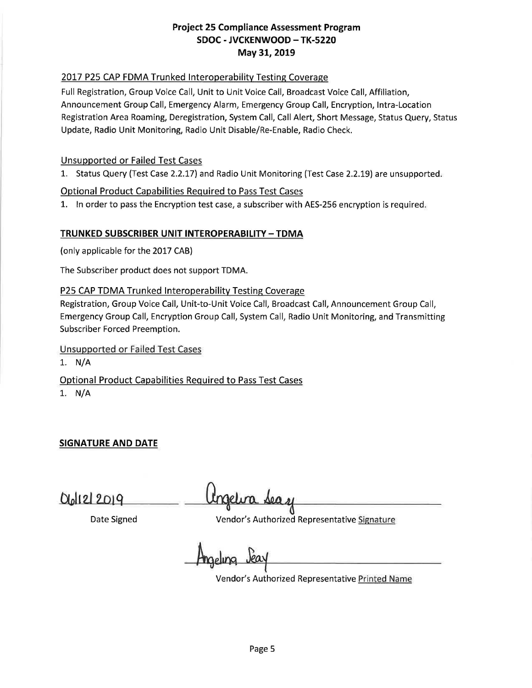# 2017 P25 CAP FDMA Trunked Interoperability Testing Coverage

Full Registration, Group Voice Call, Unit to Unit Voice Call, Broadcast Voice Call, Affiliation, Announcement Group Call, Emergency Alarm, Emergency Group Call, Encryption, Intra-Location Registration Area Roaming, Deregistration, System Call, Call Alert, Short Message, Status Query, Status Update, Radio Unit Monitoring, Radio Unit Disable/Re-Enable, Radio Check.

### Unsupported or Failed Test Cases

1. Status Query (Test Case 2.2.17) and Radio Unit Monitoring (Test Case 2.2.19) are unsupported.

## Optional Product Capabilities Required to Pass Test Cases

1. In order to pass the Encryption test case, a subscriber with AES-256 encryption is required.

## **TRUNKED SUBSCRIBER UNIT INTEROPERABILITY - TDMA**

(only applicable for the 2017 CAB)

The Subscriber product does not support TOMA.

## P25 CAP TDMA Trunked Interoperability Testing Coverage

Registration, Group Voice Call, Unit-to-Unit Voice Call, Broadcast Call, Announcement Group Call, Emergency Group Call, Encryption Group Call, System Call, Radio Unit Monitoring, and Transmitting Subscriber Forced Preemption.

Unsupported or Failed Test Cases

1. N/A

Optional Product Capabilities Required to Pass Test Cases

1. N/A

**SIGNATURE AND DATE** 

Date Signed **Vendor's Authorized Representative Signature** 

Vendor's Authorized Representative Printed Name